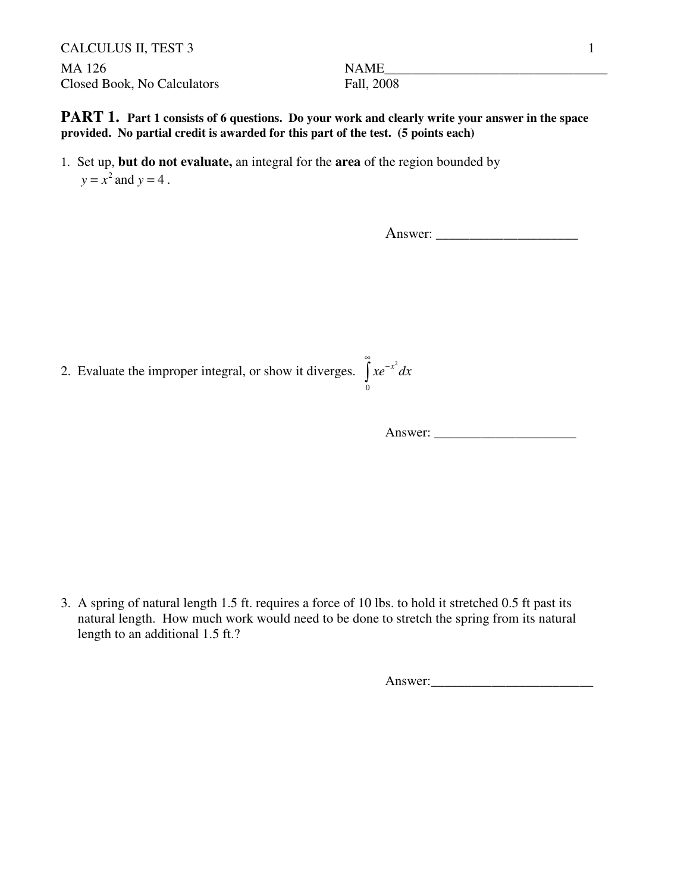CALCULUS II, TEST 3 1 MA 126 NAME\_\_\_\_\_\_\_\_\_\_\_\_\_\_\_\_\_\_\_\_\_\_\_\_\_\_\_\_\_\_\_\_\_ Closed Book, No Calculators Fall, 2008

0

**PART 1.** Part 1 consists of 6 questions. Do your work and clearly write your answer in the space **provided. No partial credit is awarded for this part of the test. (5 points each)**

1. Set up, **but do not evaluate,** an integral for the **area** of the region bounded by  $y = x^2$  and  $y = 4$ .

Answer:

2. Evaluate the improper integral, or show it diverges.  $\int xe^{-x^2} dx$ ∞  $\int xe^{-}$ 

Answer: \_\_\_\_\_\_\_\_\_\_\_\_\_\_\_\_\_\_\_\_\_

3. A spring of natural length 1.5 ft. requires a force of 10 lbs. to hold it stretched 0.5 ft past its natural length. How much work would need to be done to stretch the spring from its natural length to an additional 1.5 ft.?

Answer:\_\_\_\_\_\_\_\_\_\_\_\_\_\_\_\_\_\_\_\_\_\_\_\_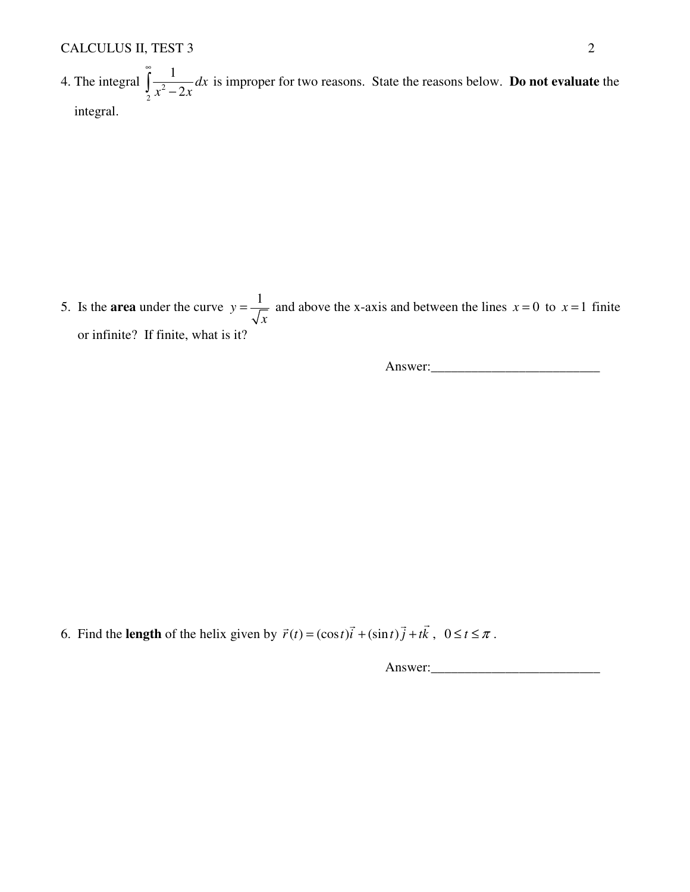4. The integral  $\int \frac{1}{x^2}$ 2 1 2 *dx*  $x^2 - 2x$ ∞  $\int \frac{1}{x^2 - 2x} dx$  is improper for two reasons. State the reasons below. **Do not evaluate** the integral.

5. Is the **area** under the curve  $y = \frac{1}{\sqrt{2}}$ *x*  $=\frac{1}{x}$  and above the x-axis and between the lines  $x=0$  to  $x=1$  finite or infinite? If finite, what is it?

Answer:

6. Find the **length** of the helix given by  $\vec{r}(t) = (\cos t)\vec{i} + (\sin t)\vec{j} + t\vec{k}$ ,  $0 \le t \le \pi$ .

Answer:\_\_\_\_\_\_\_\_\_\_\_\_\_\_\_\_\_\_\_\_\_\_\_\_\_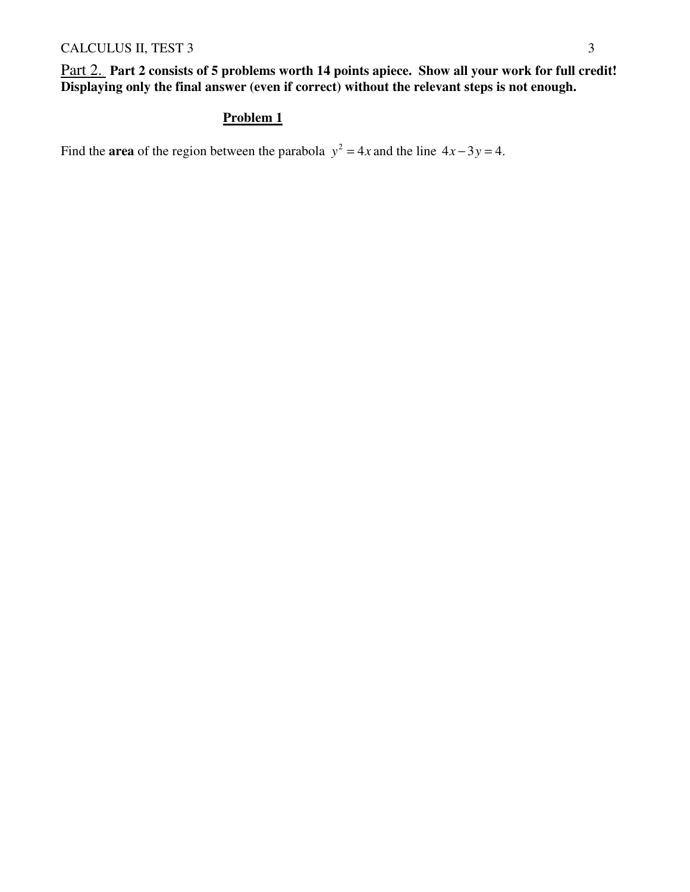Part 2. **Part 2 consists of 5 problems worth 14 points apiece. Show all your work for full credit! Displaying only the final answer (even if correct) without the relevant steps is not enough.** 

## **Problem 1**

Find the **area** of the region between the parabola  $y^2 = 4x$  and the line  $4x - 3y = 4$ .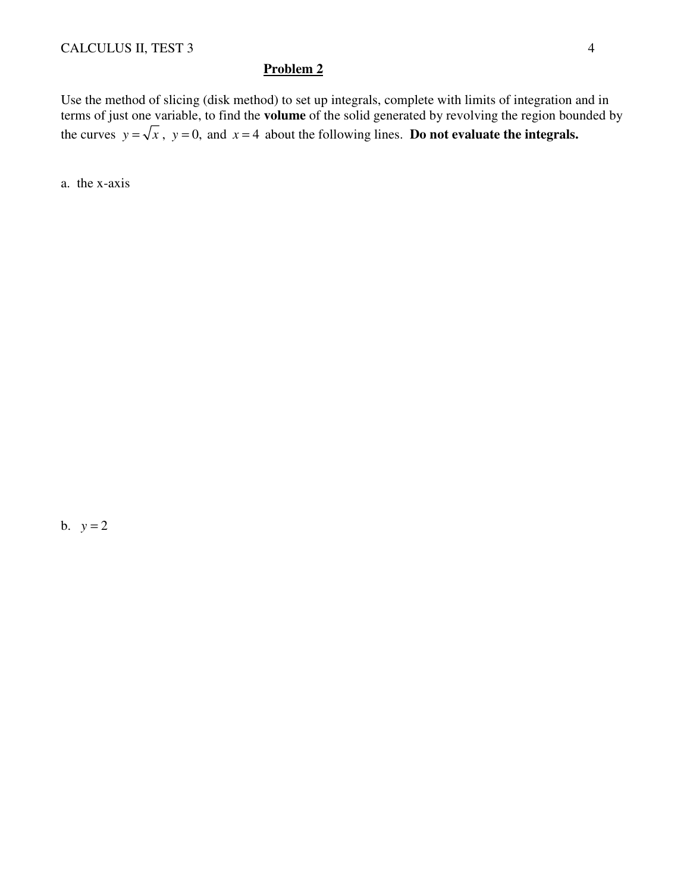Use the method of slicing (disk method) to set up integrals, complete with limits of integration and in terms of just one variable, to find the **volume** of the solid generated by revolving the region bounded by the curves  $y = \sqrt{x}$ ,  $y = 0$ , and  $x = 4$  about the following lines. **Do not evaluate the integrals.** 

a. the x-axis

b.  $y = 2$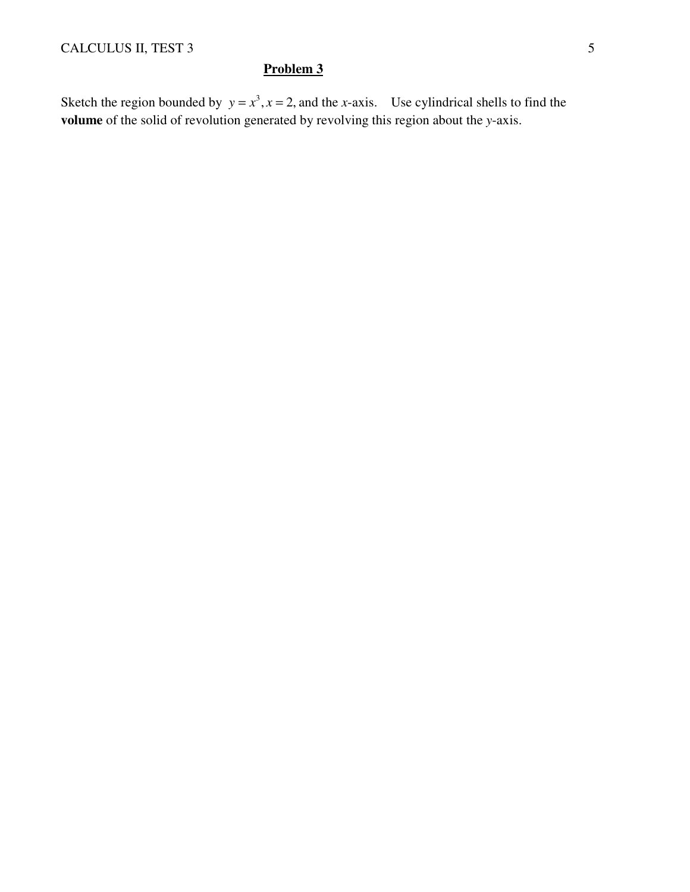Sketch the region bounded by  $y = x^3$ ,  $x = 2$ , and the *x*-axis. Use cylindrical shells to find the **volume** of the solid of revolution generated by revolving this region about the *y*-axis.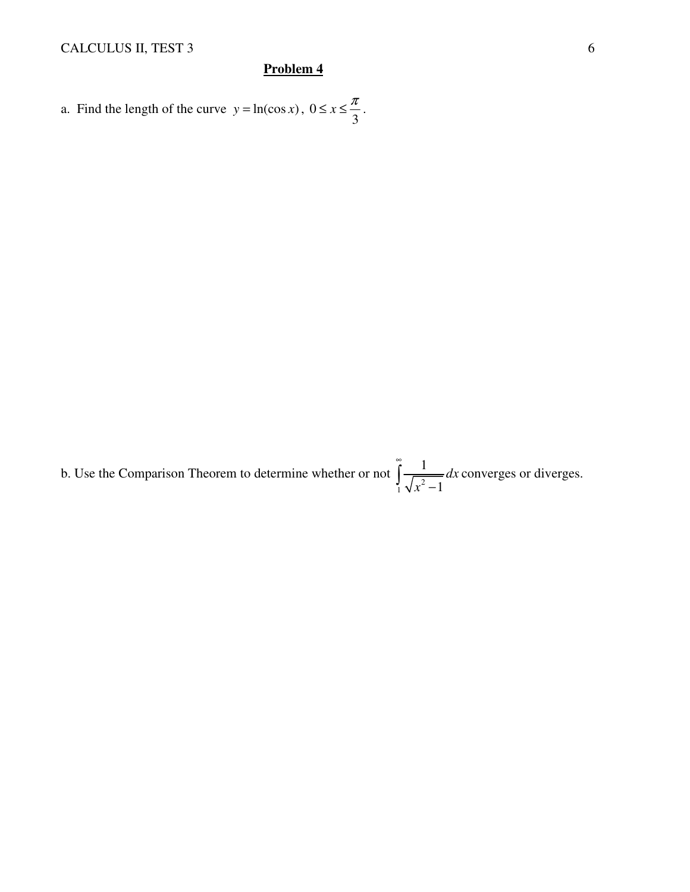a. Find the length of the curve  $y = ln(\cos x)$ , 0 3  $\leq x \leq \frac{\pi}{2}$ .

b. Use the Comparison Theorem to determine whether or not  $\int_{1}^{\infty} \frac{1}{\sqrt{x^2}}$ 1 1 *dx x* ∞  $\int \frac{1}{\sqrt{x^2-1}} dx$  converges or diverges.